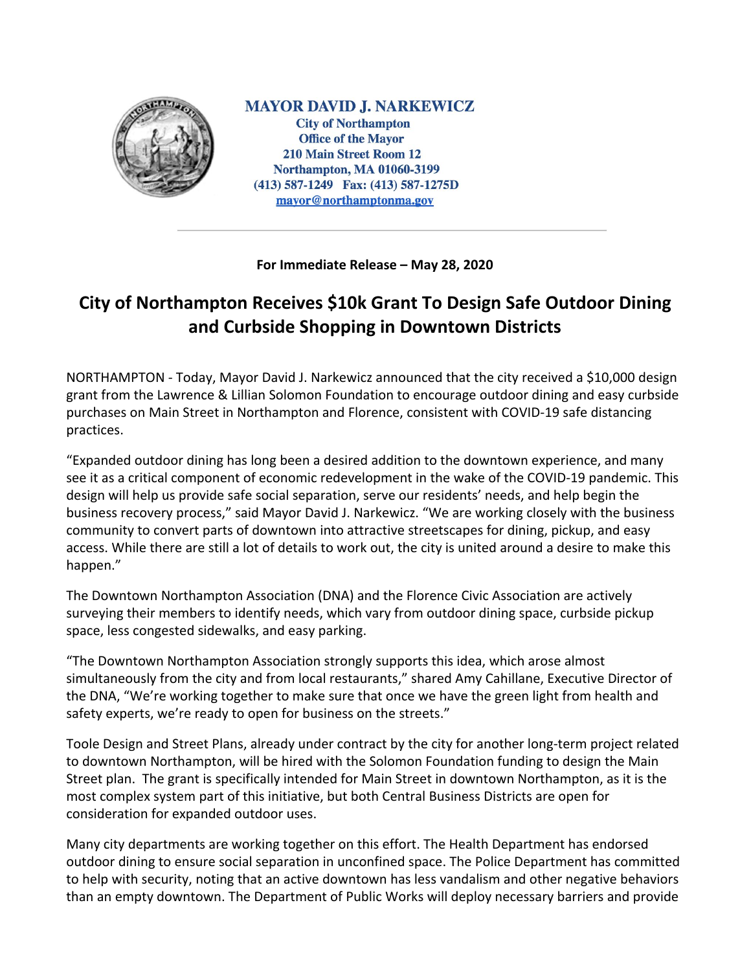

**MAYOR DAVID J. NARKEWICZ City of Northampton Office of the Mayor 210 Main Street Room 12 Northampton, MA 01060-3199** (413) 587-1249 Fax: (413) 587-1275D mayor@northamptonma.gov

**For Immediate Release – May 28, 2020**

## **City of Northampton Receives \$10k Grant To Design Safe Outdoor Dining and Curbside Shopping in Downtown Districts**

NORTHAMPTON - Today, Mayor David J. Narkewicz announced that the city received a \$10,000 design grant from the Lawrence & Lillian Solomon Foundation to encourage outdoor dining and easy curbside purchases on Main Street in Northampton and Florence, consistent with COVID-19 safe distancing practices.

"Expanded outdoor dining has long been a desired addition to the downtown experience, and many see it as a critical component of economic redevelopment in the wake of the COVID-19 pandemic. This design will help us provide safe social separation, serve our residents' needs, and help begin the business recovery process," said Mayor David J. Narkewicz. "We are working closely with the business community to convert parts of downtown into attractive streetscapes for dining, pickup, and easy access. While there are still a lot of details to work out, the city is united around a desire to make this happen."

The Downtown Northampton Association (DNA) and the Florence Civic Association are actively surveying their members to identify needs, which vary from outdoor dining space, curbside pickup space, less congested sidewalks, and easy parking.

"The Downtown Northampton Association strongly supports this idea, which arose almost simultaneously from the city and from local restaurants," shared Amy Cahillane, Executive Director of the DNA, "We're working together to make sure that once we have the green light from health and safety experts, we're ready to open for business on the streets."

Toole Design and Street Plans, already under contract by the city for another long-term project related to downtown Northampton, will be hired with the Solomon Foundation funding to design the Main Street plan. The grant is specifically intended for Main Street in downtown Northampton, as it is the most complex system part of this initiative, but both Central Business Districts are open for consideration for expanded outdoor uses.

Many city departments are working together on this effort. The Health Department has endorsed outdoor dining to ensure social separation in unconfined space. The Police Department has committed to help with security, noting that an active downtown has less vandalism and other negative behaviors than an empty downtown. The Department of Public Works will deploy necessary barriers and provide